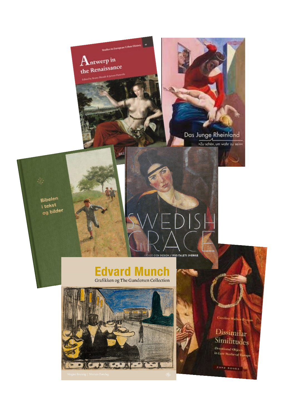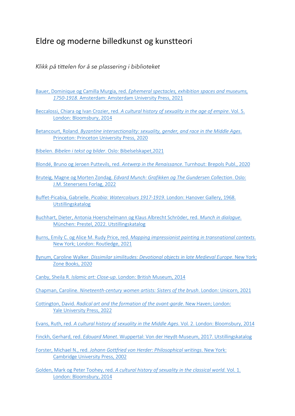## Eldre og moderne billedkunst og kunstteori

*Klikk på tittelen for å se plassering i biblioteket* 

- Bauer, Dominique og Camilla Murgia, red. *[Ephemeral spectacles, exhibition spaces and museums,](https://bibsys-almaprimo.hosted.exlibrisgroup.com/permalink/f/17b6085/BIBSYS_ILS71642450920002201)  1750-1918*[. Amsterdam: Amsterdam University Press, 2021](https://bibsys-almaprimo.hosted.exlibrisgroup.com/permalink/f/17b6085/BIBSYS_ILS71642450920002201)
- Beccalossi, Chiara og Ivan Crozier, red. *[A cultural history of sexuality in the age of empire](https://bibsys-almaprimo.hosted.exlibrisgroup.com/permalink/f/1n8chvd/BIBSYS_ILS71646807090002201)*. Vol. 5. [London: Bloomsbury, 2014](https://bibsys-almaprimo.hosted.exlibrisgroup.com/permalink/f/1n8chvd/BIBSYS_ILS71646807090002201)
- Betancourt, Roland. *[Byzantine intersectionality: sexuality, gender, and race in the Middle Ages](https://bibsys-almaprimo.hosted.exlibrisgroup.com/permalink/f/1n8chvd/BIBSYS_ILS71647001170002201)*. [Princeton: Princeton University Press, 2020](https://bibsys-almaprimo.hosted.exlibrisgroup.com/permalink/f/1n8chvd/BIBSYS_ILS71647001170002201)
- Bibelen. *Bibelen i tekst og bilder*[. Oslo: Bibelselskapet,2021](https://bibsys-almaprimo.hosted.exlibrisgroup.com/permalink/f/1n8chvd/BIBSYS_ILS71633117710002201)
- Blondé, Bruno og Jeroen Puttevils, red. *Antwerp in the Renaissance*. Turnhout: Brepols Publ., 2020
- Bruteig, Magne og Morten Zondag. *[Edvard Munch: Grafikken og The Gundersen Collection](https://bibsys-almaprimo.hosted.exlibrisgroup.com/permalink/f/1n8chvd/BIBSYS_ILS71639579530002201)*. Oslo: [J.M. Stenersens Forlag, 2022](https://bibsys-almaprimo.hosted.exlibrisgroup.com/permalink/f/1n8chvd/BIBSYS_ILS71639579530002201)
- Buffet-Picabia, Gabrielle. *Picabia: Watercolours 1917-1919*[. London: Hanover Gallery, 1968.](https://bibsys-almaprimo.hosted.exlibrisgroup.com/permalink/f/1n8chvd/BIBSYS_ILS71642800630002201)  [Utstillingskatalog](https://bibsys-almaprimo.hosted.exlibrisgroup.com/permalink/f/1n8chvd/BIBSYS_ILS71642800630002201)
- [Buchhart, Dieter, Antonia Hoerschelmann og Klaus Albrecht Schröder, red.](https://bibsys-almaprimo.hosted.exlibrisgroup.com/permalink/f/1n8chvd/BIBSYS_ILS71643533370002201) *Munch in dialogue*. [München: Prestel, 2022. Utstillingskatalog](https://bibsys-almaprimo.hosted.exlibrisgroup.com/permalink/f/1n8chvd/BIBSYS_ILS71643533370002201)
- Burns, Emily C. og Alice M. Rudy Price, red. *[Mapping impressionist painting in transnational contexts](https://bibsys-almaprimo.hosted.exlibrisgroup.com/permalink/f/17b6085/BIBSYS_ILS71647191510002201)*. [New York; London: Routledge, 2021](https://bibsys-almaprimo.hosted.exlibrisgroup.com/permalink/f/17b6085/BIBSYS_ILS71647191510002201)
- Bynum, Caroline Walker. *[Dissimilar similitudes: Devotional objects in late Medieval Europe](https://bibsys-almaprimo.hosted.exlibrisgroup.com/permalink/f/1n8chvd/BIBSYS_ILS71614312320002201)*. New York: [Zone Books, 2020](https://bibsys-almaprimo.hosted.exlibrisgroup.com/permalink/f/1n8chvd/BIBSYS_ILS71614312320002201)
- Canby, Sheila R. *Islamic art: Close-up*[. London: British Museum, 2014](https://bibsys-almaprimo.hosted.exlibrisgroup.com/permalink/f/1n8chvd/BIBSYS_ILS71647141090002201)
- Chapman, Caroline. *[Nineteenth-century women artists: Sisters of the brush](https://bibsys-almaprimo.hosted.exlibrisgroup.com/permalink/f/1n8chvd/BIBSYS_ILS71647191530002201)*. London: Unicorn, 2021
- Cottington, David. *[Radical art and the formation of the avant-garde](https://bibsys-almaprimo.hosted.exlibrisgroup.com/permalink/f/1n8chvd/BIBSYS_ILS71647171520002201)*. New Haven; London: [Yale University Press, 2022](https://bibsys-almaprimo.hosted.exlibrisgroup.com/permalink/f/1n8chvd/BIBSYS_ILS71647171520002201)
- Evans, Ruth, red. *[A cultural history of sexuality in the Middle Ages](https://bibsys-almaprimo.hosted.exlibrisgroup.com/permalink/f/1n8chvd/BIBSYS_ILS71646807090002201)*. Vol. 2. London: Bloomsbury, 2014
- Finckh, Gerhard, red. *Edouard Manet*[. Wuppertal: Von der Heydt-Museum, 2017. Utstillingskatalog](https://bibsys-almaprimo.hosted.exlibrisgroup.com/permalink/f/1n8chvd/BIBSYS_ILS71645083150002201)
- Forster, Michael N., red. *[Johann Gottfried von Herder: Philosophical writings](https://bibsys-almaprimo.hosted.exlibrisgroup.com/permalink/f/1n8chvd/BIBSYS_ILS71497209410002201)*. New York: [Cambridge University Press, 2002](https://bibsys-almaprimo.hosted.exlibrisgroup.com/permalink/f/1n8chvd/BIBSYS_ILS71497209410002201)
- Golden, Mark og Peter Toohey, red. *[A cultural history of sexuality in the classical world.](https://bibsys-almaprimo.hosted.exlibrisgroup.com/permalink/f/1n8chvd/BIBSYS_ILS71646807090002201)* Vol. 1. [London: Bloomsbury, 2014](https://bibsys-almaprimo.hosted.exlibrisgroup.com/permalink/f/1n8chvd/BIBSYS_ILS71646807090002201)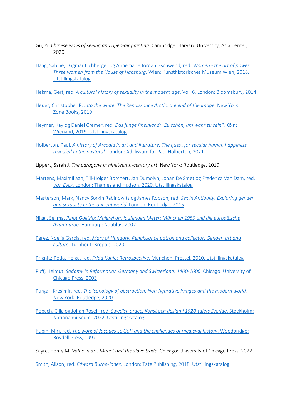- Gu, Yi. *Chinese ways of seeing and open-air painting*. Cambridge: Harvard University, Asia Center, 2020
- [Haag, Sabine, Dagmar Eichberger og Annemarie Jordan Gschwend, red.](https://bibsys-almaprimo.hosted.exlibrisgroup.com/permalink/f/1n8chvd/BIBSYS_ILS71642896990002201) *Women the art of power: Three women from the House of Habsburg*[. Wien: Kunsthistorisches Museum Wien, 2018.](https://bibsys-almaprimo.hosted.exlibrisgroup.com/permalink/f/1n8chvd/BIBSYS_ILS71642896990002201)  [Utstillingskatalog](https://bibsys-almaprimo.hosted.exlibrisgroup.com/permalink/f/1n8chvd/BIBSYS_ILS71642896990002201)
- Hekma, Gert, red. *[A cultural history of sexuality in the modern age](https://bibsys-almaprimo.hosted.exlibrisgroup.com/permalink/f/1n8chvd/BIBSYS_ILS71646807090002201)*. Vol. 6. London: Bloomsbury, 2014
- Heuer, Christopher P. *[Into the white: The Renaissance Arctic, the end of the image](https://bibsys-almaprimo.hosted.exlibrisgroup.com/permalink/f/17b6085/BIBSYS_ILS71577129880002201)*. New York: [Zone Books, 2019](https://bibsys-almaprimo.hosted.exlibrisgroup.com/permalink/f/17b6085/BIBSYS_ILS71577129880002201)
- Heymer, Kay og Daniel Cremer, red. *[Das junge Rheinland: "Zu schön, um wahr zu sein"](https://bibsys-almaprimo.hosted.exlibrisgroup.com/permalink/f/1n8chvd/BIBSYS_ILS71643228080002201)*. Köln: [Wienand, 2019. Utstillingskatalog](https://bibsys-almaprimo.hosted.exlibrisgroup.com/permalink/f/1n8chvd/BIBSYS_ILS71643228080002201)
- Holberton, Paul. *[A history of Arcadia in art and literature: The quest for secular human happiness](https://bibsys-almaprimo.hosted.exlibrisgroup.com/permalink/f/1n8chvd/BIBSYS_ILS71645083260002201)  revealed in the pastoral*[. London: Ad Ilissum for Paul Holberton, 2021](https://bibsys-almaprimo.hosted.exlibrisgroup.com/permalink/f/1n8chvd/BIBSYS_ILS71645083260002201)
- Lippert, Sarah J. *The paragone in nineteenth-century art*. New York: Routledge, 2019.
- [Martens, Maximiliaan, Till-Holger Borchert, Jan Dumolyn, Johan De Smet og Frederica Van Dam, red.](https://bibsys-almaprimo.hosted.exlibrisgroup.com/permalink/f/1n8chvd/BIBSYS_ILS71643538010002201)  *Van Eyck*[. London: Thames and Hudson, 2020. Utstillingskatalog](https://bibsys-almaprimo.hosted.exlibrisgroup.com/permalink/f/1n8chvd/BIBSYS_ILS71643538010002201)
- [Masterson, Mark, Nancy Sorkin Rabinowitz og James Robson, red.](https://bibsys-almaprimo.hosted.exlibrisgroup.com/permalink/f/17b6085/BIBSYS_ILS71538009560002201) *Sex in Antiquity: Exploring gender [and sexuality in the ancient world](https://bibsys-almaprimo.hosted.exlibrisgroup.com/permalink/f/17b6085/BIBSYS_ILS71538009560002201)*. London: Routledge, 2015
- Niggl, Selima. *[Pinot Gallizio: Malerei am laufenden Meter: München 1959 und die europäische](https://bibsys-almaprimo.hosted.exlibrisgroup.com/permalink/f/1n8chvd/BIBSYS_ILS71644964100002201)  Avantgarde.* [Hamburg: Nautilus, 2007](https://bibsys-almaprimo.hosted.exlibrisgroup.com/permalink/f/1n8chvd/BIBSYS_ILS71644964100002201)
- Pérez, Noelia García, red. *[Mary of Hungary: Renaissance patron and collector: Gender, art and](https://bibsys-almaprimo.hosted.exlibrisgroup.com/permalink/f/1n8chvd/BIBSYS_ILS71642790570002201)  culture*[. Turnhout: Brepols, 2020](https://bibsys-almaprimo.hosted.exlibrisgroup.com/permalink/f/1n8chvd/BIBSYS_ILS71642790570002201)
- Prignitz-Poda, Helga, red. *Frida Kahlo: Retrospective*[. München: Prestel, 2010. Utstillingskatalog](https://bibsys-almaprimo.hosted.exlibrisgroup.com/permalink/f/1n8chvd/BIBSYS_ILS71505533800002201)
- Puff, Helmut. *[Sodomy in Reformation Germany and Switzerland, 1400-1600](https://bibsys-almaprimo.hosted.exlibrisgroup.com/permalink/f/1n8chvd/BIBSYS_ILS71512652720002201)*. Chicago: University of [Chicago Press, 2003](https://bibsys-almaprimo.hosted.exlibrisgroup.com/permalink/f/1n8chvd/BIBSYS_ILS71512652720002201)
- Purgar, Krešimir, red. *[The iconology of abstraction: Non-figurative images and the modern world.](https://bibsys-almaprimo.hosted.exlibrisgroup.com/permalink/f/17b6085/BIBSYS_ILS71643598170002201)* [New York: Routledge, 2020](https://bibsys-almaprimo.hosted.exlibrisgroup.com/permalink/f/17b6085/BIBSYS_ILS71643598170002201)
- Robach, Cilla og Johan Rosell, red. *[Swedish grace: Konst och design i 1920-talets Sverige](https://bibsys-almaprimo.hosted.exlibrisgroup.com/permalink/f/1n8chvd/BIBSYS_ILS71645094030002201)*. Stockholm: [Nationalmuseum, 2022. Utstillingskatalog](https://bibsys-almaprimo.hosted.exlibrisgroup.com/permalink/f/1n8chvd/BIBSYS_ILS71645094030002201)
- Rubin, Miri, red. *[The work of Jacques Le Goff and the challenges of medieval history](https://bibsys-almaprimo.hosted.exlibrisgroup.com/permalink/f/1n8chvd/BIBSYS_ILS71487434350002201)*. Woodbridge: [Boydell Press, 1997.](https://bibsys-almaprimo.hosted.exlibrisgroup.com/permalink/f/1n8chvd/BIBSYS_ILS71487434350002201)
- Sayre, Henry M. *Value in art: Manet and the slave trade*. Chicago: University of Chicago Press, 2022

Smith, Alison, red. *Edward Burne-Jones*[. London: Tate Publishing, 2018. Utstillingskatalog](https://bibsys-almaprimo.hosted.exlibrisgroup.com/permalink/f/17b6085/BIBSYS_ILS71571474130002201)